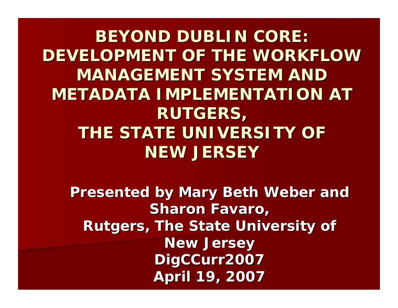**BEYOND DUBLIN CORE: DEVELOPMENT OF THE WORKFLOW DEVELOPMENT OF THE WORKFLOW MANAGEMENT SYSTEM AND METADATA IMPLEMENTATION AT RUTGERS, RUTGERS, THE STATE UNIVERSITY OF NEW JERSEY NEW JERSEY**

**Presented by Mary Beth Weber and Sharon Favaro, Rutgers, The State University of Rutgers, The State University of New Jersey DigCCurr2007 DigCCurr2007 April 19, 2007 April 19, 2007**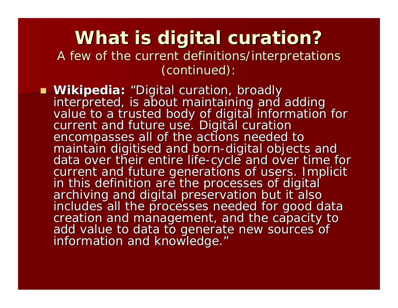### **What is digital curation? What is digital curation?** A few of the current definitions/interpretations (continued): (continued):

 **Wikipedia: Wikipedia:** interpreted, is about maintaining and adding<br>value to a trusted body of digital information for<br>current and future use. Digital curation<br>encompasses all of the actions needed to<br>maintain digitised and born-digital objects maintain digitised and born-digital objects and<br>data over their entire life-cycle and over time fo current and future generations of users. Implicit<br>in this definition are the processes of digital<br>archiving and digital preservation but it also<br>includes all the processes needed for good data<br>creation and management, and information and knowledge."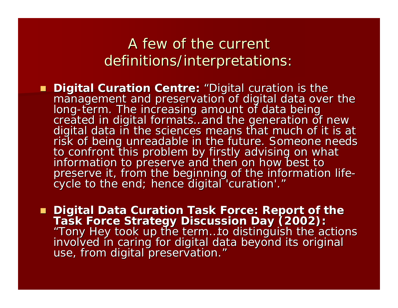### A few of the current definitions/interpretations:

Digital Curation Centre: "Digital curation is the management and preservation of digital data over the<br>long-term. The increasing amount of data being created in digital formats. and the generation of new digital data in the sciences means that much of it is at<br>risk of being unreadable in the future. Someone needs<br>to confront this problem by firstly advising on what<br>information to preserve and then on how best to preserve it, from the beginning or the imormation ine-<br>cycle to the end; hence digital 'curation'."

Digital Data Curation Task Force: Report of the ■ Digital Data Curation Task Force: Report of the<br>Task Force Strategy Discussion Day (2002): "Tony Hey took up the term…to distinguish the actions<br>involved in caring for digital data beyond its original<br>use, from digital preservation." use, from digital preservation."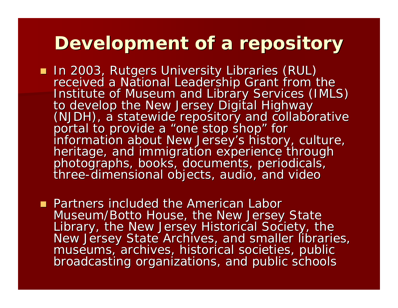### **Development of a repository Development of a repository**

- In 2003, Rutgers University Libraries (RUL) received a National Leadership Grant from the<br>Institute of Museum and Library Services (IMLS)<br>to develop the New Jersey Digital Highway<br>(NJDH), a statewide repository and collaborative<br>portal to provide a "one stop shop" f "one stop shop" for heritage, and immigration experience through<br>photographs, books, documents, periodicals, e-dimensional objects, audio, and video
- **Partners included the American Labor** Museum/Botto House, the New Jersey State<br>Library, the New Jersey Historical Society, the<br>New Jersey State Archives, and smaller libraries,<br>museums, archives, historical societies, public<br>broadcasting organizations, and pub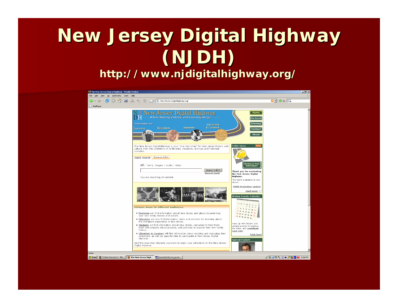# **New Jersey Digital Highway (NJDH)**

**http://www.njdigitalhighway.org/ http://www.njdigitalhighway.org/**

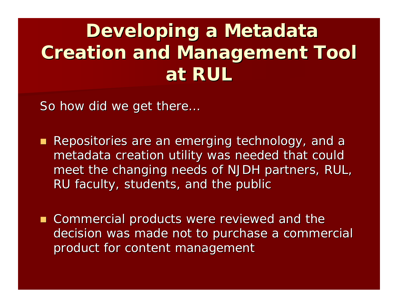## **Developing a Metadata Creation and Management Tool Creation and Management Tool at RUL**

So how did we get there...

- Repositories are an emerging technology, and a metadata creation utility was needed that could meet the changing needs of NJDH partners, RUL, RU faculty, students, and the public
- **Commercial products were reviewed and the** decision was made not to purchase a commercial product for content management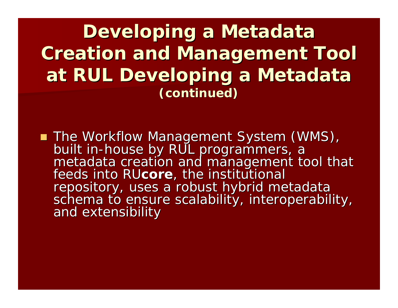**Developing a Metadata Creation and Management Tool Creation and Management Tool at RUL Developing a Metadata at RUL Developing a Metadata (continued) (continued)**

The Workflow Management System (WMS), The Workflow Management System (WMS), built in metadata creation and management tool that feeds into RUcore, the institutional<br>repository, uses a robust hybrid metadata schema to ensure scalability, interoperability, and extensibility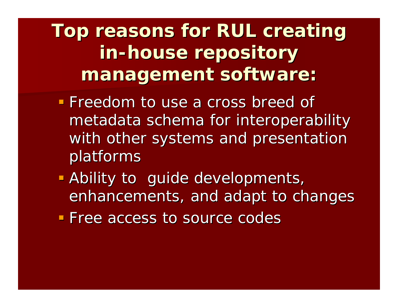**Top reasons for RUL creating Top reasons for RUL creating in -house repository house repository management software: management software:**

- **Freedom to use a cross breed of Freedom to use a cross breed of** metadata schema for interoperability with other systems and presentation platforms platforms
- **Ability to guide developments,** enhancements, and adapt to changes
- **Free access to source codes**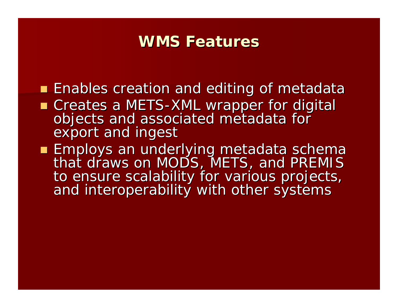### **WMS Features**

- **Enables creation and editing of metadata**
- Creates a METS-XML wrapper for digital objects and associated metadata for<br>export and ingest
- Employs an underlying metadata schema that draws on MODS, METS, and PREMIS to ensure scalability for various projects, and interoperability with other systems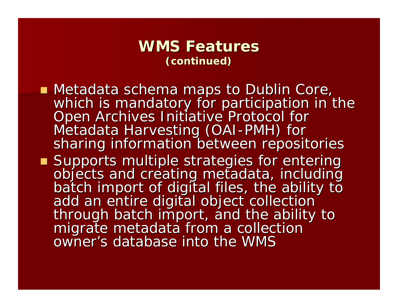#### **WMS Features (continued) (continued)**

- Metadata schema maps to Dublin Core,<br>Metadata schema maps to Dublin Core, which is mandatory for participation in t which is mandatory for participation in the Which is mandatory for participation in the Open Archives Initiative Protocol for Metadata Harvesting (OAI-PMH) for sharing information between repositories
- Supports multiple strategies for entering objects and creating metadata, including<br>batch import of digital files, the ability to<br>add an entire digital object collection<br>through batch import, and the ability to<br>migrate metadata from a collection owner's database into the WMS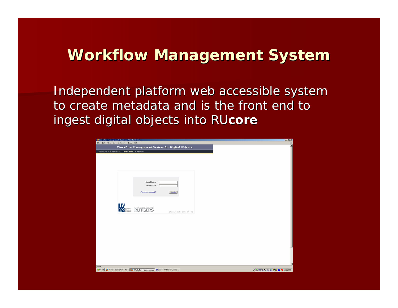### **Workflow Management System Workflow Management System**

Independent platform web accessible system to create metadata and is the front end to ingest digital objects into RUcore

| Workflow Management System - Mozilla Firefox                                                        |                   |
|-----------------------------------------------------------------------------------------------------|-------------------|
| Elle Edit Vew Go Bookmarks Tools Help                                                               |                   |
| Workflow Management System for Digital Objects<br>Contact Us   Report Error   Help Center   Version |                   |
|                                                                                                     |                   |
|                                                                                                     |                   |
|                                                                                                     |                   |
|                                                                                                     |                   |
|                                                                                                     |                   |
|                                                                                                     |                   |
| <b>User Name:</b>                                                                                   |                   |
| Password:                                                                                           |                   |
| Forgot password?<br>Login                                                                           |                   |
|                                                                                                     |                   |
|                                                                                                     |                   |
| $\mathbb{Z}$ Rutgers                                                                                |                   |
| [Today's date: 2007-04-11]                                                                          |                   |
|                                                                                                     |                   |
|                                                                                                     |                   |
|                                                                                                     |                   |
|                                                                                                     |                   |
|                                                                                                     |                   |
|                                                                                                     |                   |
|                                                                                                     |                   |
|                                                                                                     |                   |
|                                                                                                     |                   |
|                                                                                                     |                   |
| Done                                                                                                |                   |
| Start G Position Description - Mo   G Workflow Manageme [8] beyond dubiccore_prese                  | 2 多型の人目目ク試ON 200m |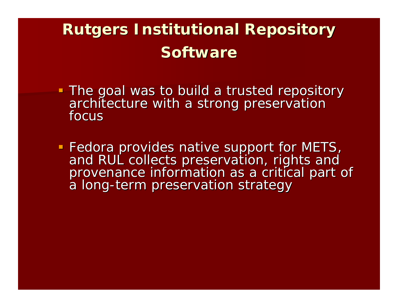### **Rutgers Institutional Repository Software Software**

- The goal was to build a trusted repository<br>architecture with a strong preservation<br>focus
- Fedora provides native support for METS, and RUL collects preservation, rights and<br>provenance information as a critical part of a long-term preservation strategy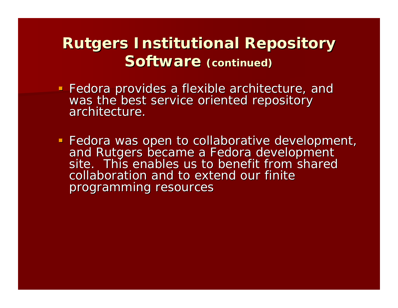### **Rutgers Institutional Repository Software (continued)**

- Fedora provides a flexible architecture, and<br>was the best service oriented repository<br>architecture.
- Fedora was open to collaborative development, and Rutgers became a Fedora development site. This enables us to benefit from shared collaboration and to extend our finite programming resources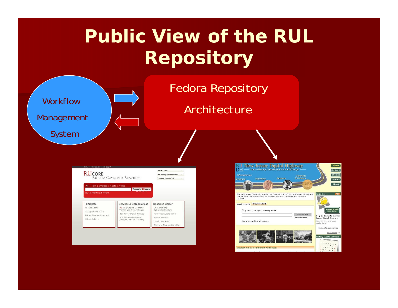## **Public View of the RUL Repository**



### Fedora Repository

Architecture

| All   Text   Images   Audio   Video<br>You are searching all content, | Search RUcore<br><b>Advanced Search</b>                                             |                                                         |
|-----------------------------------------------------------------------|-------------------------------------------------------------------------------------|---------------------------------------------------------|
| Participate<br>About RUcore                                           | Services & Collaborations<br>RUetd (Rutgers Electronic<br>Theses and Dissertations) | Resource Center<br>Understanding<br>Cyberinfrastructure |
| Participate in RUcore                                                 | New Jersey Digital Highway                                                          | How does RUcore work?                                   |
| RUcore Mission Statement<br>Ri Joone Policies                         | WAAND Women Artists<br>Archives National Directory                                  | RUcore Services<br>Developers' Area                     |

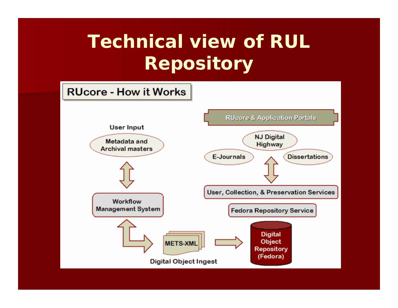## **Technical view of RUL Repository**

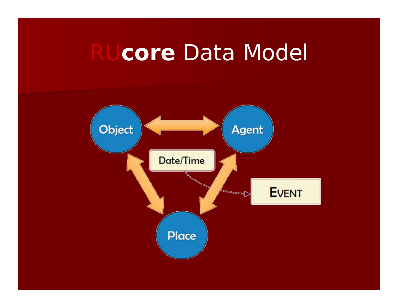# RU**core** Data Model

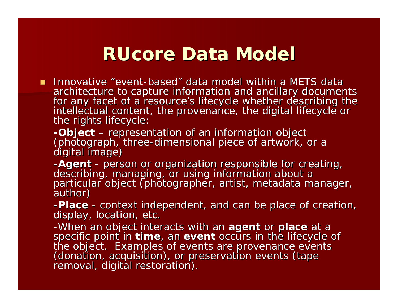### **RUcore Data Model RUcore Data Model**

- $\blacksquare$  Innovative "event-based" data model within a METS data architecture to capture information and ancillary documents<br>for any facet of a resource's lifecycle whether describing the<br>intellectual content, the provenance, the digital lifecycle or<br>the rights lifecycle:
	- *-Object -Object –* representation of an information object<br>(photograph, three-dimensional piece of artwork, c (photograph, three-dimensional piece of artwork, or a digital image)
	- *-Agent* describing, managing, or using information about a<br>particular object (photographer, artist, metadata manager,<br>author)
	- *-Place* -**-Place** - context independent, and can be place of creation,<br>display, location, etc.
	- -When an object interacts with an **agent** or **place** at a<br>specific point in **time**, an **event** occurs in the lifecycle of<br>the object. Examples of events are provenance events<br>(donation, acquisition), or preservation events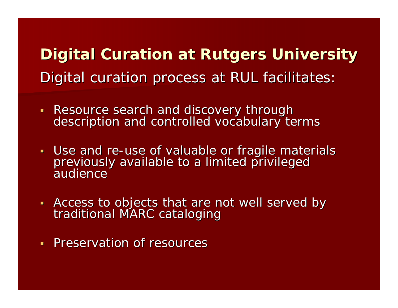**Digital Curation at Rutgers University** Digital curation process at RUL facilitates:

- Resource search and discovery through description and controlled vocabulary terms
- **Use and re** previously available to a limited privileged<br>audience
- Access to objects that are not well served by<br>traditional MARC cataloging
- **Preservation of resources**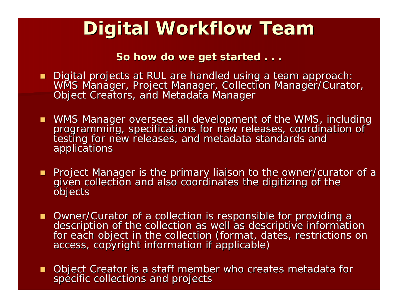### **Digital Workflow Team Digital Workflow Team**

So how do we get started . . .

- Digital projects at RUL are handled using a team approach:<br>WMS Manager, Project Manager, Collection Manager/Curator,<br>Object Creators, and Metadata Manager
- WMS Manager oversees all development of the WMS, including programming, specifications for new releases, coordination of<br>testing for new releases, and metadata standards and<br>applications
- **Project Manager is the primary liaison to the owner/curator of a** given collection and also coordinates the digitizing of the<br>objects
- Owner/Curator of a collection is responsible for providing a description of the collection as well as descriptive information<br>for each object in the collection (format, dates, restrictions on<br>access, copyright information if applicable)
- Object Creator is a staff member who creates metadata for<br>specific collections and projects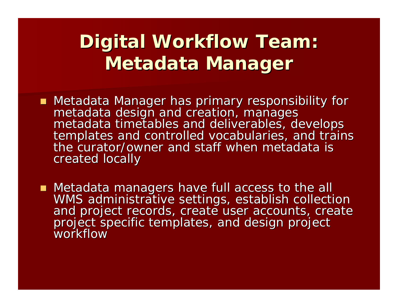## **Digital Workflow Team: Metadata Manager Metadata Manager**

- Metadata Manager has primary responsibility for metadata design and creation, manages<br>metadata timetables and deliverables, develops<br>templates and controlled vocabularies, and trains<br>the curator/owner and staff when metadata is created locally
- Metadata managers have full access to the all WMS administrative settings, establish collection<br>and project records, create user accounts, create<br>project specific templates, and design project workflow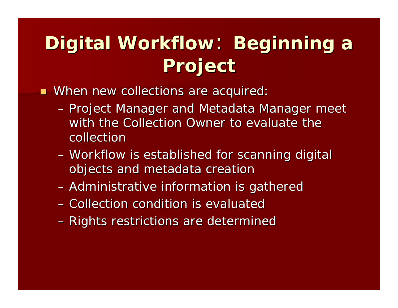## **Digital Workflow: Beginning a Project Project**

**NHER 2018** Move collections are acquired:

- Project Manager and Metadata Manager meet with the Collection Owner to evaluate the collection
- Workflow is established for scanning digital objects and metadata creation
- $-$  Administrative information is gathered
- Collection condition is evaluated
- Rights restrictions are determined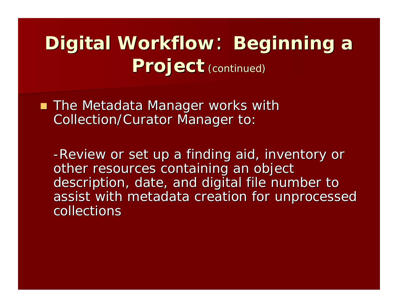## **Digital Workflow: Beginning a Project** (continued)

 $\blacksquare$  The Metadata Manager works with Collection/Curator Manager to:

-Review or set up a finding aid, inventory or other resources containing an object description, date, and digital file number to assist with metadata creation for unprocessed collections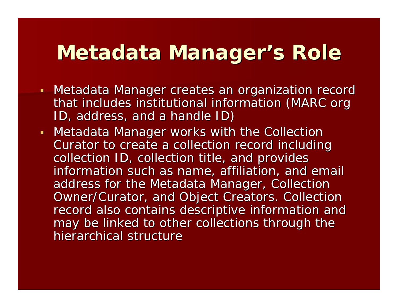## **Metadata Manager's Role**

- Metadata Manager creates an organization record that includes institutional information (MARC org ID, address, and a handle ID)
- **Metadata Manager works with the Collection** Curator to create a collection record including collection ID, collection title, and provides information such as name, affiliation, and email address for the Metadata Manager, Collection Owner/Curator, and Object Creators. Collection record also contains descriptive information and may be linked to other collections through the hierarchical structure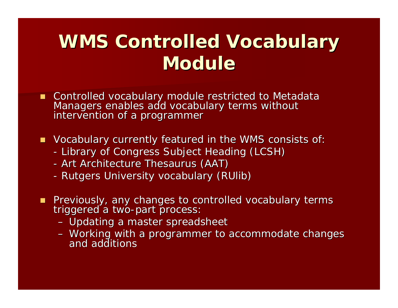### **WMS Controlled Vocabulary Module**

- Controlled vocabulary module restricted to Metadata Managers enables add vocabulary terms without<br>intervention of a programmer
- $\blacksquare$  Vocabulary currently featured in the WMS consists of:
	- -- Library of Congress Subject Heading (LCSH)
	- -- Art Architecture Thesaurus (AAT)
	- -- Rutgers University vocabulary (RUlib)
- Previously, any changes to controlled vocabulary terms triggered a two-part process: triggered a two-part process:
	- Updating a master spreadsheet
	- Working with a programmer to accommodate changes<br>and additions and additions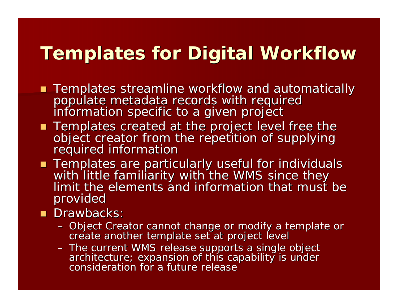### **Templates for Digital Workflow Templates for Digital Workflow**

- Templates streamline workflow and automatically<br>populate metadata records with required<br>information specific to a given project
- Templates created at the project level free the<br>object creator from the repetition of supplying<br>required information
- Templates are particularly useful for individuals<br>with little familiarity with the WMS since they<br>limit the elements and information that must be provided
- **Drawbacks:** 
	- Object Creator cannot change or modify a template or<br>Create another template set at project level
	- The current WMS release supports a single object<br>architecture; expansion of this capability is under<br>consideration for a future release consideration for a future release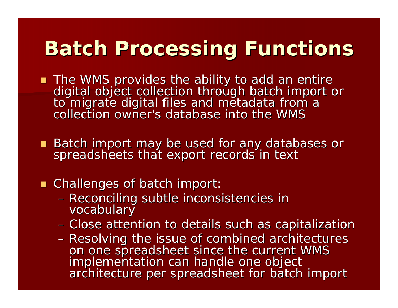## **Batch Processing Functions Batch Processing Functions**

- The WMS provides the ability to add an entire digital object collection through batch import or<br>to migrate digital files and metadata from a collection owner's database into the WMS
- Batch import may be used for any databases or<br>Spreadsheets that export records in text

#### ■ Challenges of batch import:

- Reconciling subtle inconsistencies in<br>vocabulary
- Close attention to details such as capitalization
- Resolving the issue of combined architectures on one spreadsheet since the current WMS<br>implementation can handle one object<br>architecture per spreadsheet for batch import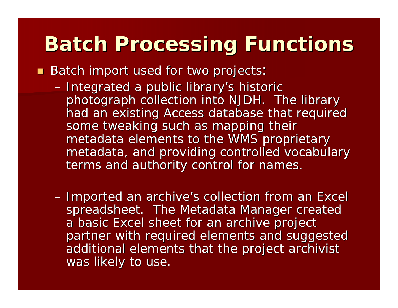## **Batch Processing Functions Batch Processing Functions**

Batch import used for two projects

- Integrated a public library's historic photograph collection into NJDH. The library had an existing Access database that required some tweaking such as mapping their metadata elements to the WMS proprietary metadata, and providing controlled vocabulary metadata, and providing controlled vocabulary terms and authority control for names.
- $-$  Imported an archive's collection from an Excel  $\,$ spreadsheet. The Metadata Manager created a basic Excel sheet for an archive project partner with required elements and suggested additional elements that the project archivist was likely to use.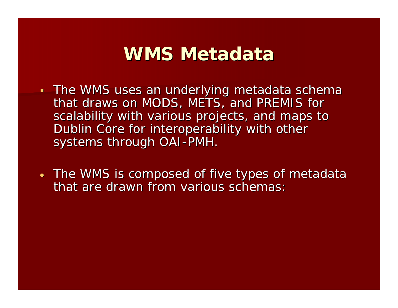### **WMS Metadata WMS Metadata**

- The WMS uses an underlying metadata schema that draws on MODS, METS, and PREMIS for scalability with various projects, and maps to Dublin Core for interoperability with other systems through OAI-PMH.
- •• The WMS is composed of five types of metadata that are drawn from various schemas: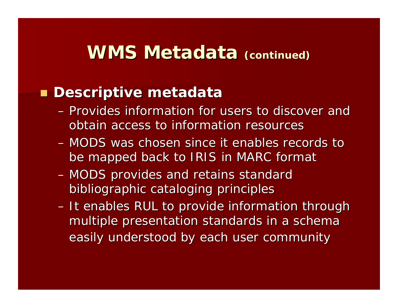### **Descriptive metadata Descriptive metadata**

- Provides information for users to discover and obtain access to information resources
- MODS was chosen since it enables records to be mapped back to IRIS in MARC format
- MODS provides and retains standard bibliographic cataloging principles bibliographic cataloging principles
- $-$  It enables RUL to provide information through  $\overline{\phantom{a}}$ multiple presentation standards in a schema easily understood by each user community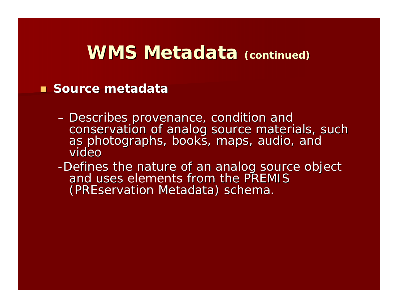#### **Source metadata**

- Describes provenance, condition and conservation of analog source materials, such<br>as photographs, books, maps, audio, and<br>video
- -Defines the nature of an analog source object<br>and uses elements from the PREMIS and uses elements from the PREMIS (PREservation Metadata) schema.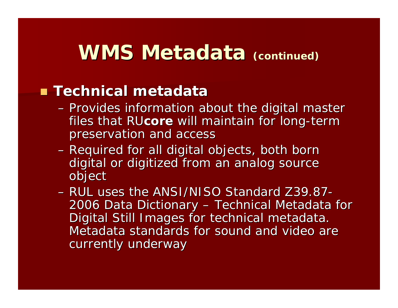### **Technical metadata Technical metadata**

- Provides information about the digital master files that RU**core** will maintain for long-term preservation and access preservation and access
- Required for all digital objects, both born digital or digitized from an analog source object
- RUL uses the ANSI/NISO Standard Z39.87-2006 Data Dictionary <sup>.</sup> – Technical Metadata for Digital Still Images for technical metadata. Metadata standards for sound and video are currently underway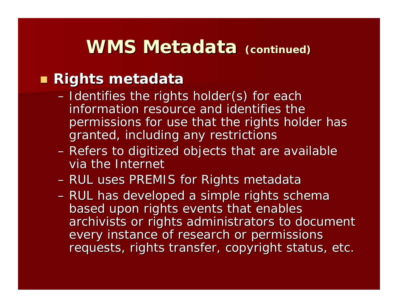### **WMS Metadata WMS Metadata (continued) (continued)**

### **Rights metadata Rights metadata**

- Identifies the rights holder(s) for each information resource and identifies the i permissions for use that the rights holder has granted, including any restrictions granted, including any restrictions
- Refers to digitized objects that are available  $\overline{\phantom{a}}$ via the Internet
- RUL uses PREMIS for Rights metadata
- RUL has developed a simple rights schema based upon rights events that enables archivists or rights administrators to document every instance of research or permissions requests, rights transfer, copyright status, etc.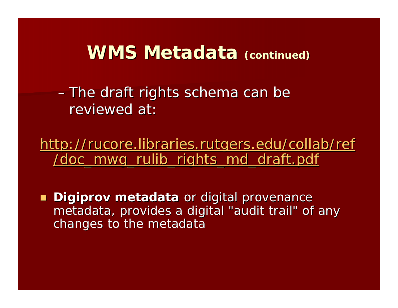$\mathcal{L}_{\mathcal{A}}$  $-$ The draft rights schema can be reviewed at:

[http://rucore.libraries.rutgers.edu/collab/ref](http://rucore.libraries.rutgers.edu/collab/ref/doc_mwg_rulib_rights_md_draft.pdf) [/doc\\_mwg\\_rulib\\_rights\\_md\\_draft.pdf](http://rucore.libraries.rutgers.edu/collab/ref/doc_mwg_rulib_rights_md_draft.pdf) /doc\_mwg\_rulib\_rights\_md\_draft.pdf

**Digiprov metadata** or digital provenance metadata, provides a digital "audit trail" of any changes to the metadata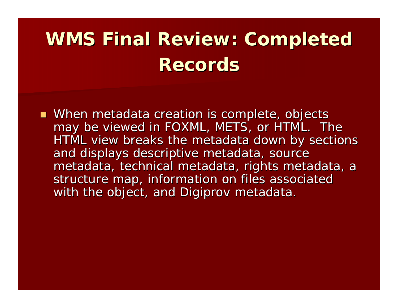# WMS Final Review: Completed **Records Records**

■ When metadata creation is complete, objects may be viewed in FOXML, METS, or HTML. The HTML view breaks the metadata down by sections and displays descriptive metadata, source metadata, technical metadata, rights metadata, a structure map, information on files associated with the object, and Digiprov metadata.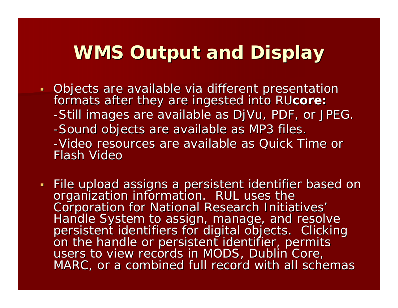### **WMS Output and Display**

- · Objects are available via different presentation formats after they are ingested into RUcore: -Still images are available as DjVu, PDF, or JPEG. -Sound objects are available as MP3 files. -Video resources are available as Quick Time or Flash Video
- File upload assigns a persistent identifier based on organization information. RUL uses the<br>Corporation for National Research Initiatives'<br>Handle System to assign, manage, and resolve<br>persistent identifiers for digital objects. Clicking<br>on the handle or persistent identifier MARC, or a combined full record with all schemas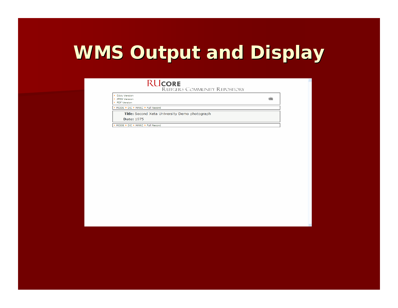## **WMS Output and Display WMS Output and Display**

#### **RUCORE**

**RUTGERS COMMUNITY REPOSITORY** 

| DiVu Version<br><b>JPEG Version</b><br><b>PDF Version</b> |  |
|-----------------------------------------------------------|--|
| MODS ▶ DC ▶ MARC ▶ Full Record                            |  |
| Title: Second Xeta University Demo photograph             |  |
| <b>Date: 1975</b>                                         |  |
| ▶ MODS ▶ DC ▶ MARC ▶ Full Record                          |  |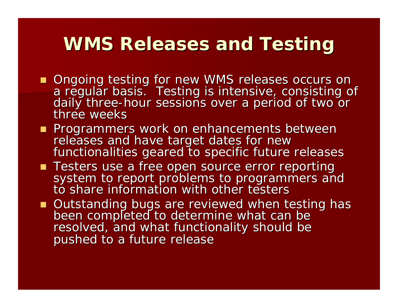### **WMS Releases and Testing WMS Releases and Testing**

- Ongoing testing for new WMS releases occurs on a regular basis. Testing is intensive, consisting of<br>daily three-hour sessions over a period of two or<br>three weeks daily three-hour sessions over a period of two or
- **Programmers work on enhancements between** releases and have target dates for new<br>functionalities geared to specific future releases
- Testers use a free open source error reporting system to report problems to programmers and<br>to share information with other testers
- Outstanding bugs are reviewed when testing has<br>been completed to determine what can be<br>resolved, and what functionality should be pushed to a future release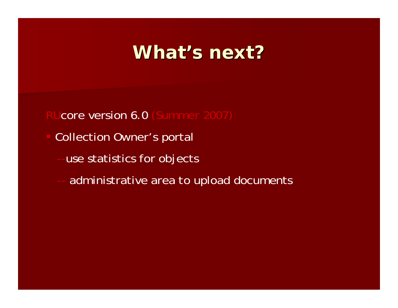### **What's next? s next?**

core version 6.0 (Summer 2007)

- Collection Owner's portal
	- use statistics for objects
	- -administrative area to upload documents